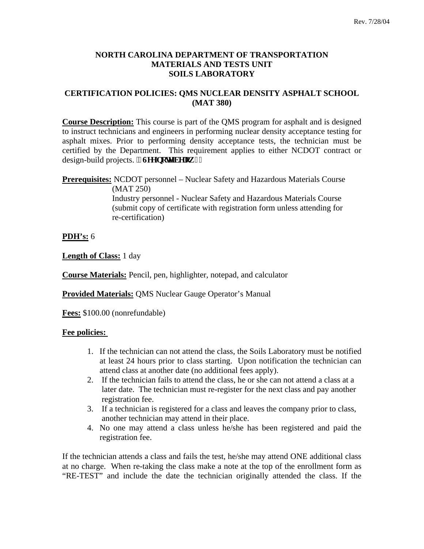# **NORTH CAROLINA DEPARTMENT OF TRANSPORTATION MATERIALS AND TESTS UNIT SOILS LABORATORY**

# **CERTIFICATION POLICIES: QMS NUCLEAR DENSITY ASPHALT SCHOOL (MAT 380)**

**Course Description:** This course is part of the QMS program for asphalt and is designed to instruct technicians and engineers in performing nuclear density acceptance testing for asphalt mixes. Prior to performing density acceptance tests, the technician must be certified by the Department. This requirement applies to either NCDOT contract or design-build projects. ", Ugg'pqwg'dgmy, "

**Prerequisites:** NCDOT personnel – Nuclear Safety and Hazardous Materials Course (MAT 250)

Industry personnel - Nuclear Safety and Hazardous Materials Course (submit copy of certificate with registration form unless attending for re-certification)

**PDH's:** 6

**Length of Class:** 1 day

**Course Materials:** Pencil, pen, highlighter, notepad, and calculator

**Provided Materials:** QMS Nuclear Gauge Operator's Manual

**Fees:** \$100.00 (nonrefundable)

# **Fee policies:**

- 1. If the technician can not attend the class, the Soils Laboratory must be notified at least 24 hours prior to class starting. Upon notification the technician can attend class at another date (no additional fees apply).
- 2. If the technician fails to attend the class, he or she can not attend a class at a later date. The technician must re-register for the next class and pay another registration fee.
- 3. If a technician is registered for a class and leaves the company prior to class, another technician may attend in their place.
- 4. No one may attend a class unless he/she has been registered and paid the registration fee.

If the technician attends a class and fails the test, he/she may attend ONE additional class at no charge. When re-taking the class make a note at the top of the enrollment form as "RE-TEST" and include the date the technician originally attended the class. If the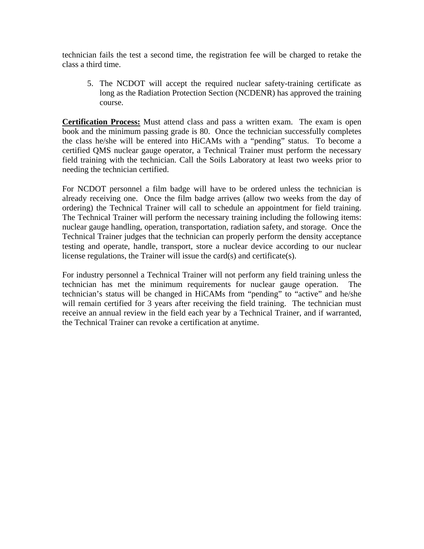technician fails the test a second time, the registration fee will be charged to retake the class a third time.

5. The NCDOT will accept the required nuclear safety-training certificate as long as the Radiation Protection Section (NCDENR) has approved the training course.

**Certification Process:** Must attend class and pass a written exam. The exam is open book and the minimum passing grade is 80. Once the technician successfully completes the class he/she will be entered into HiCAMs with a "pending" status. To become a certified QMS nuclear gauge operator, a Technical Trainer must perform the necessary field training with the technician. Call the Soils Laboratory at least two weeks prior to needing the technician certified.

For NCDOT personnel a film badge will have to be ordered unless the technician is already receiving one. Once the film badge arrives (allow two weeks from the day of ordering) the Technical Trainer will call to schedule an appointment for field training. The Technical Trainer will perform the necessary training including the following items: nuclear gauge handling, operation, transportation, radiation safety, and storage. Once the Technical Trainer judges that the technician can properly perform the density acceptance testing and operate, handle, transport, store a nuclear device according to our nuclear license regulations, the Trainer will issue the card(s) and certificate(s).

For industry personnel a Technical Trainer will not perform any field training unless the technician has met the minimum requirements for nuclear gauge operation. The technician's status will be changed in HiCAMs from "pending" to "active" and he/she will remain certified for 3 years after receiving the field training. The technician must receive an annual review in the field each year by a Technical Trainer, and if warranted, the Technical Trainer can revoke a certification at anytime.